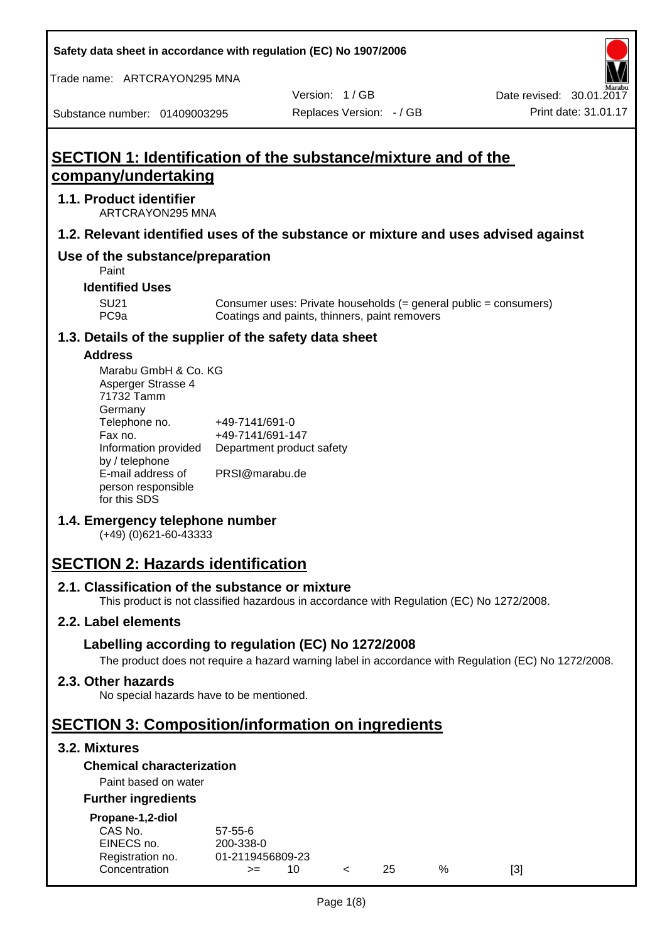**Safety data sheet in accordance with regulation (EC) No 1907/2006**

Trade name: ARTCRAYON295 MNA

Version: 1 / GB

Substance number: 01409003295

# **SECTION 1: Identification of the substance/mixture and of the company/undertaking**

## **1.1. Product identifier**

ARTCRAYON295 MNA

## **1.2. Relevant identified uses of the substance or mixture and uses advised against**

## **Use of the substance/preparation**

Paint

**Identified Uses**

SU21 Consumer uses: Private households (= general public = consumers)<br>PC9a Coatings and paints, thinners, paint removers Coatings and paints, thinners, paint removers

#### **1.3. Details of the supplier of the safety data sheet**

#### **Address**

| Marabu GmbH & Co. KG |                           |
|----------------------|---------------------------|
| Asperger Strasse 4   |                           |
| 71732 Tamm           |                           |
| Germany              |                           |
| Telephone no.        | +49-7141/691-0            |
| Fax no.              | +49-7141/691-147          |
| Information provided | Department product safety |
| by / telephone       |                           |
| E-mail address of    | PRSI@marabu.de            |
| person responsible   |                           |
| for this SDS         |                           |

## **1.4. Emergency telephone number**

(+49) (0)621-60-43333

# **SECTION 2: Hazards identification**

#### **2.1. Classification of the substance or mixture**

This product is not classified hazardous in accordance with Regulation (EC) No 1272/2008.

## **2.2. Label elements**

## **Labelling according to regulation (EC) No 1272/2008**

The product does not require a hazard warning label in accordance with Regulation (EC) No 1272/2008.

#### **2.3. Other hazards**

No special hazards have to be mentioned.

## **SECTION 3: Composition/information on ingredients**

## **3.2. Mixtures**

## **Chemical characterization**

## Paint based on water

#### **Further ingredients**

| Propane-1,2-diol |  |
|------------------|--|

| CAS No.          | $57 - 55 - 6$    |  |     |   |     |
|------------------|------------------|--|-----|---|-----|
| EINECS no.       | 200-338-0        |  |     |   |     |
| Registration no. | 01-2119456809-23 |  |     |   |     |
| Concentration    | $>=$             |  | 25. | % | [3] |
|                  |                  |  |     |   |     |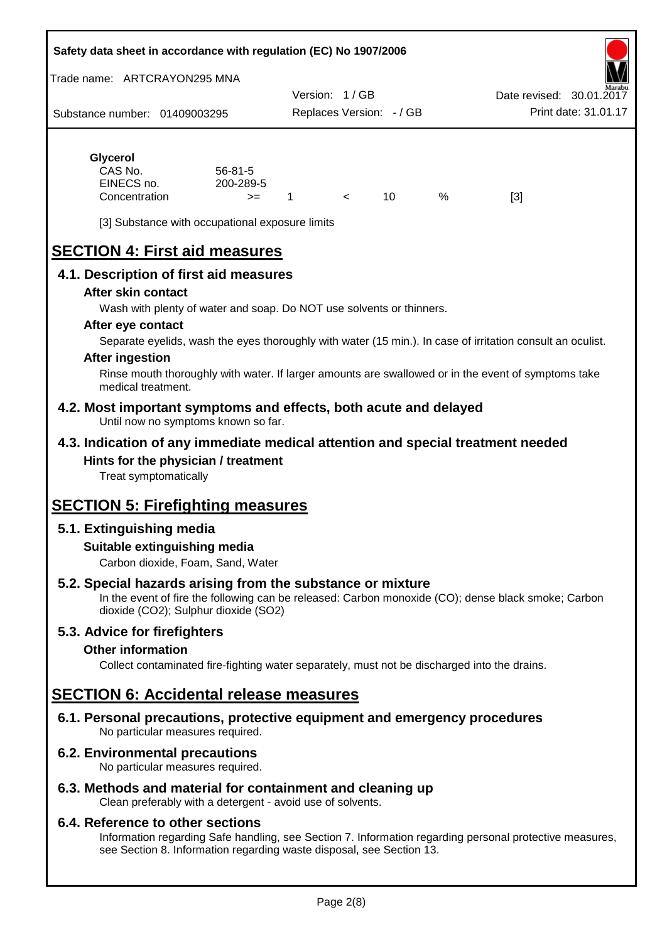#### **Safety data sheet in accordance with regulation (EC) No 1907/2006**

Trade name: ARTCRAYON295 MNA

Substance number: 01409003295 Version: 1 / GB Replaces Version: - / GB Print date: 31.01.17 Date revised: 30.01.2

## **Glycerol** CAS No. 56-81-5

| CAS No.<br>EINECS no. | 56-81-5<br>200-289-5 |  |   |     |
|-----------------------|----------------------|--|---|-----|
| Concentration         | $>=$                 |  | % | [3] |

[3] Substance with occupational exposure limits

# **SECTION 4: First aid measures**

## **4.1. Description of first aid measures**

#### **After skin contact**

Wash with plenty of water and soap. Do NOT use solvents or thinners.

#### **After eye contact**

Separate eyelids, wash the eyes thoroughly with water (15 min.). In case of irritation consult an oculist.

#### **After ingestion**

Rinse mouth thoroughly with water. If larger amounts are swallowed or in the event of symptoms take medical treatment.

#### **4.2. Most important symptoms and effects, both acute and delayed** Until now no symptoms known so far.

## **4.3. Indication of any immediate medical attention and special treatment needed Hints for the physician / treatment**

Treat symptomatically

# **SECTION 5: Firefighting measures**

## **5.1. Extinguishing media**

## **Suitable extinguishing media**

Carbon dioxide, Foam, Sand, Water

## **5.2. Special hazards arising from the substance or mixture**

In the event of fire the following can be released: Carbon monoxide (CO); dense black smoke; Carbon dioxide (CO2); Sulphur dioxide (SO2)

## **5.3. Advice for firefighters**

## **Other information**

Collect contaminated fire-fighting water separately, must not be discharged into the drains.

## **SECTION 6: Accidental release measures**

**6.1. Personal precautions, protective equipment and emergency procedures** No particular measures required.

## **6.2. Environmental precautions**

No particular measures required.

## **6.3. Methods and material for containment and cleaning up**

Clean preferably with a detergent - avoid use of solvents.

#### **6.4. Reference to other sections**

Information regarding Safe handling, see Section 7. Information regarding personal protective measures, see Section 8. Information regarding waste disposal, see Section 13.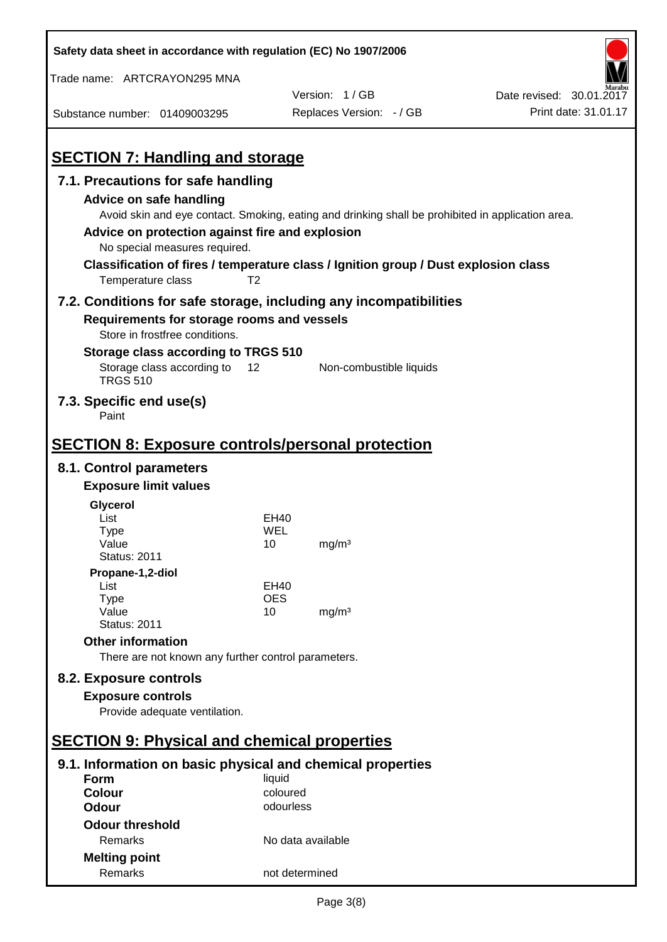| Safety data sheet in accordance with regulation (EC) No 1907/2006                                                                       |                |                                                                                                                                                                                          |                          |
|-----------------------------------------------------------------------------------------------------------------------------------------|----------------|------------------------------------------------------------------------------------------------------------------------------------------------------------------------------------------|--------------------------|
| Trade name: ARTCRAYON295 MNA                                                                                                            |                |                                                                                                                                                                                          |                          |
|                                                                                                                                         |                | Version: 1/GB                                                                                                                                                                            | Date revised: 30.01.2017 |
| Substance number: 01409003295                                                                                                           |                | Replaces Version: - / GB                                                                                                                                                                 | Print date: 31.01.17     |
| <b>SECTION 7: Handling and storage</b>                                                                                                  |                |                                                                                                                                                                                          |                          |
| 7.1. Precautions for safe handling                                                                                                      |                |                                                                                                                                                                                          |                          |
| <b>Advice on safe handling</b><br>Advice on protection against fire and explosion<br>No special measures required.<br>Temperature class | T <sub>2</sub> | Avoid skin and eye contact. Smoking, eating and drinking shall be prohibited in application area.<br>Classification of fires / temperature class / Ignition group / Dust explosion class |                          |
| Requirements for storage rooms and vessels<br>Store in frostfree conditions.                                                            |                | 7.2. Conditions for safe storage, including any incompatibilities                                                                                                                        |                          |
| Storage class according to TRGS 510                                                                                                     |                |                                                                                                                                                                                          |                          |
| Storage class according to<br><b>TRGS 510</b>                                                                                           | 12             | Non-combustible liquids                                                                                                                                                                  |                          |
| 7.3. Specific end use(s)<br>Paint                                                                                                       |                |                                                                                                                                                                                          |                          |
| <b>SECTION 8: Exposure controls/personal protection</b>                                                                                 |                |                                                                                                                                                                                          |                          |
| 8.1. Control parameters                                                                                                                 |                |                                                                                                                                                                                          |                          |
| <b>Exposure limit values</b>                                                                                                            |                |                                                                                                                                                                                          |                          |
| Glycerol                                                                                                                                |                |                                                                                                                                                                                          |                          |
| List                                                                                                                                    | EH40           |                                                                                                                                                                                          |                          |
| Type                                                                                                                                    | WEL            |                                                                                                                                                                                          |                          |
| Value<br><b>Status: 2011</b>                                                                                                            | 10             | mg/m <sup>3</sup>                                                                                                                                                                        |                          |
| Propane-1,2-diol                                                                                                                        |                |                                                                                                                                                                                          |                          |
| List                                                                                                                                    | EH40           |                                                                                                                                                                                          |                          |
| <b>Type</b>                                                                                                                             | <b>OES</b>     |                                                                                                                                                                                          |                          |
| Value<br><b>Status: 2011</b>                                                                                                            | 10             | mg/m <sup>3</sup>                                                                                                                                                                        |                          |
| <b>Other information</b>                                                                                                                |                |                                                                                                                                                                                          |                          |
| There are not known any further control parameters.                                                                                     |                |                                                                                                                                                                                          |                          |
| 8.2. Exposure controls                                                                                                                  |                |                                                                                                                                                                                          |                          |
| <b>Exposure controls</b>                                                                                                                |                |                                                                                                                                                                                          |                          |
| Provide adequate ventilation.                                                                                                           |                |                                                                                                                                                                                          |                          |
|                                                                                                                                         |                |                                                                                                                                                                                          |                          |
| <b>SECTION 9: Physical and chemical properties</b>                                                                                      |                |                                                                                                                                                                                          |                          |
| 9.1. Information on basic physical and chemical properties                                                                              |                |                                                                                                                                                                                          |                          |
| Form                                                                                                                                    | liquid         |                                                                                                                                                                                          |                          |
| <b>Colour</b>                                                                                                                           | coloured       |                                                                                                                                                                                          |                          |
| <b>Odour</b>                                                                                                                            | odourless      |                                                                                                                                                                                          |                          |
| <b>Odour threshold</b>                                                                                                                  |                |                                                                                                                                                                                          |                          |
| Remarks                                                                                                                                 |                | No data available                                                                                                                                                                        |                          |
| <b>Melting point</b>                                                                                                                    |                |                                                                                                                                                                                          |                          |
| Remarks                                                                                                                                 |                | not determined                                                                                                                                                                           |                          |

 $\mathbf{r}$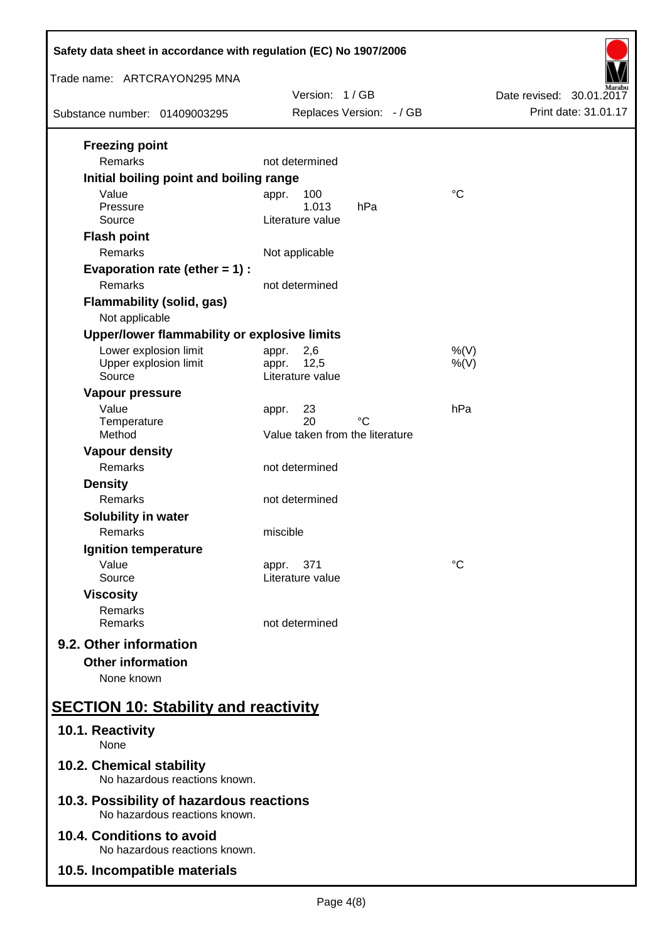| Safety data sheet in accordance with regulation (EC) No 1907/2006         |                                                   |                          |  |  |
|---------------------------------------------------------------------------|---------------------------------------------------|--------------------------|--|--|
| Trade name: ARTCRAYON295 MNA                                              | Version: 1/GB                                     | Date revised: 30.01.2017 |  |  |
| Substance number: 01409003295                                             | Replaces Version: - / GB                          | Print date: 31.01.17     |  |  |
| <b>Freezing point</b><br>Remarks                                          | not determined                                    |                          |  |  |
| Initial boiling point and boiling range                                   |                                                   |                          |  |  |
| Value<br>Pressure<br>Source                                               | 100<br>appr.<br>1.013<br>hPa<br>Literature value  | $\rm ^{\circ}C$          |  |  |
| <b>Flash point</b><br>Remarks                                             | Not applicable                                    |                          |  |  |
| Evaporation rate (ether $= 1$ ) :<br>Remarks                              | not determined                                    |                          |  |  |
| <b>Flammability (solid, gas)</b><br>Not applicable                        |                                                   |                          |  |  |
| Upper/lower flammability or explosive limits                              |                                                   |                          |  |  |
| Lower explosion limit<br>Upper explosion limit<br>Source                  | 2,6<br>appr.<br>12,5<br>appr.<br>Literature value | $%$ (V)<br>$%$ (V)       |  |  |
| Vapour pressure<br>Value<br>Temperature                                   | 23<br>appr.<br>20<br>°C                           | hPa                      |  |  |
| Method                                                                    | Value taken from the literature                   |                          |  |  |
| <b>Vapour density</b><br>Remarks                                          | not determined                                    |                          |  |  |
| <b>Density</b><br>Remarks                                                 | not determined                                    |                          |  |  |
| Solubility in water<br>Remarks                                            | miscible                                          |                          |  |  |
| Ignition temperature                                                      |                                                   |                          |  |  |
| Value<br>Source                                                           | 371<br>appr.<br>Literature value                  | °C                       |  |  |
| <b>Viscosity</b><br>Remarks<br>Remarks                                    | not determined                                    |                          |  |  |
| 9.2. Other information<br><b>Other information</b>                        |                                                   |                          |  |  |
| None known<br><b>SECTION 10: Stability and reactivity</b>                 |                                                   |                          |  |  |
| 10.1. Reactivity                                                          |                                                   |                          |  |  |
| None<br>10.2. Chemical stability                                          |                                                   |                          |  |  |
| No hazardous reactions known.<br>10.3. Possibility of hazardous reactions |                                                   |                          |  |  |
| No hazardous reactions known.<br>10.4. Conditions to avoid                |                                                   |                          |  |  |
| No hazardous reactions known.<br>10.5. Incompatible materials             |                                                   |                          |  |  |
|                                                                           |                                                   |                          |  |  |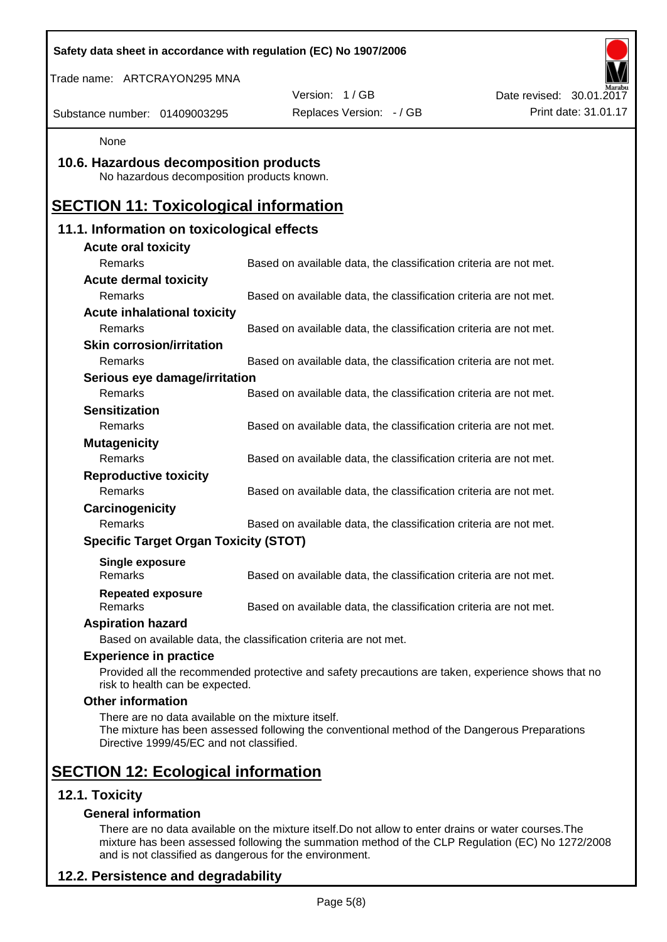| Safety data sheet in accordance with regulation (EC) No 1907/2006                              |                                                                                                    |                          |
|------------------------------------------------------------------------------------------------|----------------------------------------------------------------------------------------------------|--------------------------|
| Trade name: ARTCRAYON295 MNA                                                                   |                                                                                                    |                          |
|                                                                                                | Version: 1/GB                                                                                      | Date revised: 30.01.2017 |
| Substance number: 01409003295                                                                  | Replaces Version: - / GB                                                                           | Print date: 31.01.17     |
| None                                                                                           |                                                                                                    |                          |
| 10.6. Hazardous decomposition products<br>No hazardous decomposition products known.           |                                                                                                    |                          |
| <b>SECTION 11: Toxicological information</b>                                                   |                                                                                                    |                          |
| 11.1. Information on toxicological effects                                                     |                                                                                                    |                          |
| <b>Acute oral toxicity</b>                                                                     |                                                                                                    |                          |
| Remarks                                                                                        | Based on available data, the classification criteria are not met.                                  |                          |
| <b>Acute dermal toxicity</b>                                                                   |                                                                                                    |                          |
| <b>Remarks</b>                                                                                 | Based on available data, the classification criteria are not met.                                  |                          |
| <b>Acute inhalational toxicity</b>                                                             |                                                                                                    |                          |
| Remarks                                                                                        | Based on available data, the classification criteria are not met.                                  |                          |
| <b>Skin corrosion/irritation</b>                                                               |                                                                                                    |                          |
| Remarks                                                                                        | Based on available data, the classification criteria are not met.                                  |                          |
| Serious eye damage/irritation                                                                  |                                                                                                    |                          |
| Remarks                                                                                        | Based on available data, the classification criteria are not met.                                  |                          |
| <b>Sensitization</b>                                                                           |                                                                                                    |                          |
| Remarks                                                                                        | Based on available data, the classification criteria are not met.                                  |                          |
| <b>Mutagenicity</b>                                                                            |                                                                                                    |                          |
| Remarks                                                                                        | Based on available data, the classification criteria are not met.                                  |                          |
| <b>Reproductive toxicity</b>                                                                   |                                                                                                    |                          |
| Remarks                                                                                        | Based on available data, the classification criteria are not met.                                  |                          |
| Carcinogenicity                                                                                |                                                                                                    |                          |
| Remarks                                                                                        | Based on available data, the classification criteria are not met.                                  |                          |
| <b>Specific Target Organ Toxicity (STOT)</b>                                                   |                                                                                                    |                          |
| <b>Single exposure</b><br>Remarks                                                              | Based on available data, the classification criteria are not met.                                  |                          |
| <b>Repeated exposure</b><br>Remarks                                                            | Based on available data, the classification criteria are not met.                                  |                          |
| <b>Aspiration hazard</b>                                                                       |                                                                                                    |                          |
|                                                                                                | Based on available data, the classification criteria are not met.                                  |                          |
| <b>Experience in practice</b>                                                                  |                                                                                                    |                          |
| risk to health can be expected.                                                                | Provided all the recommended protective and safety precautions are taken, experience shows that no |                          |
| <b>Other information</b>                                                                       |                                                                                                    |                          |
| There are no data available on the mixture itself.<br>Directive 1999/45/EC and not classified. | The mixture has been assessed following the conventional method of the Dangerous Preparations      |                          |
| <b>SECTION 12: Ecological information</b>                                                      |                                                                                                    |                          |
| 12.1. Toxicity                                                                                 |                                                                                                    |                          |
| <b>General information</b>                                                                     |                                                                                                    |                          |

There are no data available on the mixture itself.Do not allow to enter drains or water courses.The mixture has been assessed following the summation method of the CLP Regulation (EC) No 1272/2008 and is not classified as dangerous for the environment.

## **12.2. Persistence and degradability**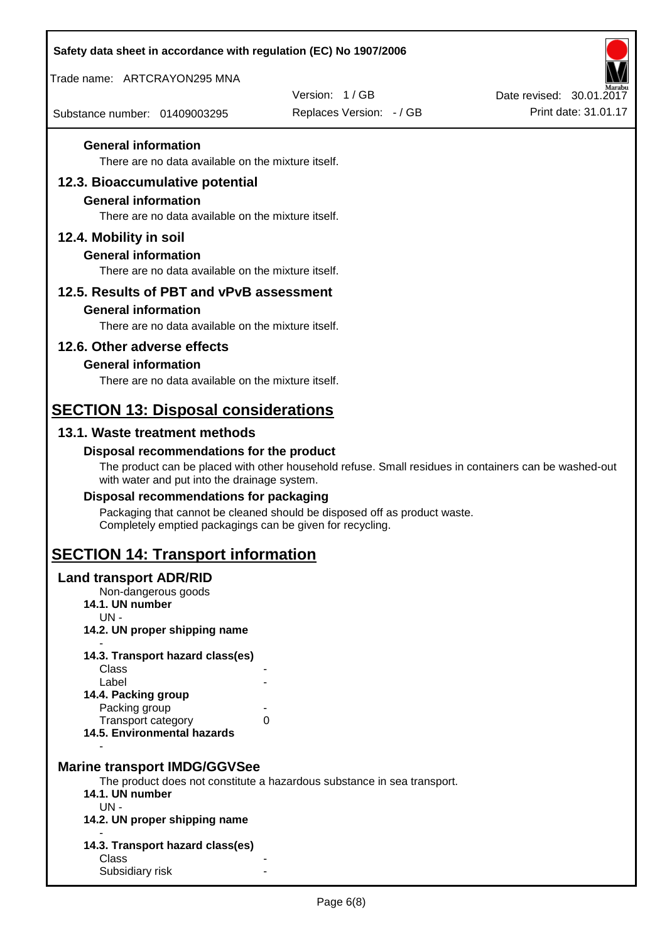| Safety data sheet in accordance with regulation (EC) No 1907/2006                        |                                                                                                       |                          |
|------------------------------------------------------------------------------------------|-------------------------------------------------------------------------------------------------------|--------------------------|
| Trade name: ARTCRAYON295 MNA                                                             |                                                                                                       |                          |
|                                                                                          | Version: 1/GB                                                                                         | Date revised: 30.01.2017 |
| Substance number: 01409003295                                                            | Replaces Version: - / GB                                                                              | Print date: 31.01.17     |
| <b>General information</b><br>There are no data available on the mixture itself.         |                                                                                                       |                          |
| 12.3. Bioaccumulative potential                                                          |                                                                                                       |                          |
| <b>General information</b><br>There are no data available on the mixture itself.         |                                                                                                       |                          |
| 12.4. Mobility in soil                                                                   |                                                                                                       |                          |
| <b>General information</b><br>There are no data available on the mixture itself.         |                                                                                                       |                          |
| 12.5. Results of PBT and vPvB assessment                                                 |                                                                                                       |                          |
| <b>General information</b>                                                               |                                                                                                       |                          |
| There are no data available on the mixture itself.                                       |                                                                                                       |                          |
| 12.6. Other adverse effects                                                              |                                                                                                       |                          |
| <b>General information</b>                                                               |                                                                                                       |                          |
| There are no data available on the mixture itself.                                       |                                                                                                       |                          |
| <b>SECTION 13: Disposal considerations</b>                                               |                                                                                                       |                          |
| 13.1. Waste treatment methods                                                            |                                                                                                       |                          |
| Disposal recommendations for the product<br>with water and put into the drainage system. | The product can be placed with other household refuse. Small residues in containers can be washed-out |                          |
| Disposal recommendations for packaging                                                   |                                                                                                       |                          |
| Completely emptied packagings can be given for recycling.                                | Packaging that cannot be cleaned should be disposed off as product waste.                             |                          |
| <b>SECTION 14: Transport information</b>                                                 |                                                                                                       |                          |
| <b>Land transport ADR/RID</b><br>Non-dangerous goods<br>14.1. UN number<br>$UN -$        |                                                                                                       |                          |
| 14.2. UN proper shipping name                                                            |                                                                                                       |                          |
| 14.3. Transport hazard class(es)                                                         |                                                                                                       |                          |
| Class                                                                                    |                                                                                                       |                          |
| Label<br>14.4. Packing group                                                             |                                                                                                       |                          |
| Packing group                                                                            |                                                                                                       |                          |
| Transport category<br>14.5. Environmental hazards                                        | 0                                                                                                     |                          |
| <b>Marine transport IMDG/GGVSee</b>                                                      |                                                                                                       |                          |
| 14.1. UN number                                                                          | The product does not constitute a hazardous substance in sea transport.                               |                          |
| $UN -$                                                                                   |                                                                                                       |                          |
| 14.2. UN proper shipping name                                                            |                                                                                                       |                          |
| 14.3. Transport hazard class(es)<br>Class                                                |                                                                                                       |                          |
| Subsidiary risk                                                                          |                                                                                                       |                          |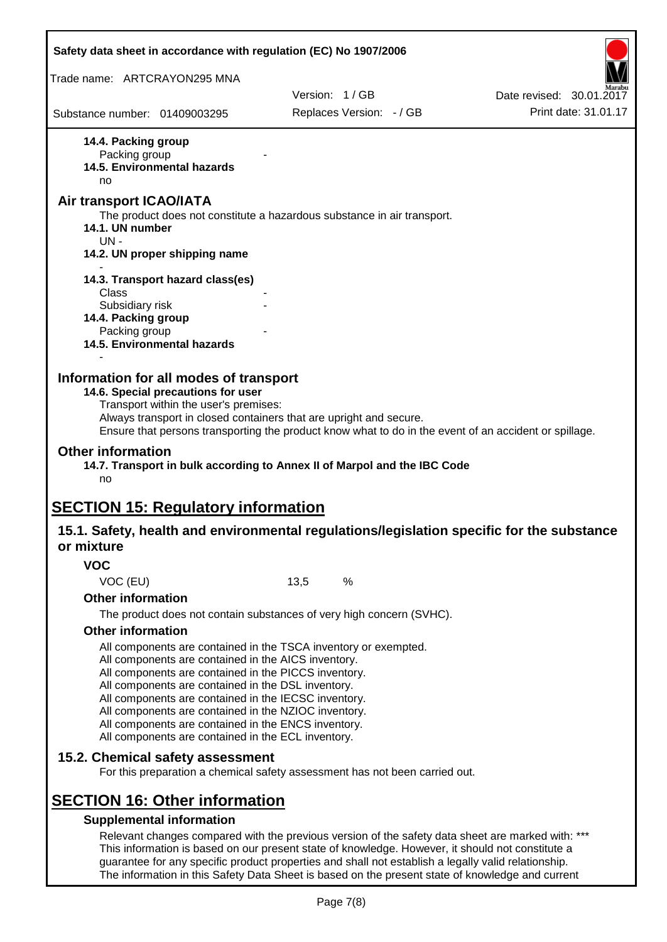| Safety data sheet in accordance with regulation (EC) No 1907/2006                                                                                                                                                                                                                                                                                                                                                                                                                             |      |                          |                                                                                                       |  |
|-----------------------------------------------------------------------------------------------------------------------------------------------------------------------------------------------------------------------------------------------------------------------------------------------------------------------------------------------------------------------------------------------------------------------------------------------------------------------------------------------|------|--------------------------|-------------------------------------------------------------------------------------------------------|--|
| Trade name: ARTCRAYON295 MNA                                                                                                                                                                                                                                                                                                                                                                                                                                                                  |      |                          |                                                                                                       |  |
|                                                                                                                                                                                                                                                                                                                                                                                                                                                                                               |      | Version: 1/GB            | Date revised: 30.01.2017                                                                              |  |
| Substance number: 01409003295                                                                                                                                                                                                                                                                                                                                                                                                                                                                 |      | Replaces Version: - / GB | Print date: 31.01.17                                                                                  |  |
| 14.4. Packing group<br>Packing group<br><b>14.5. Environmental hazards</b><br>no                                                                                                                                                                                                                                                                                                                                                                                                              |      |                          |                                                                                                       |  |
| <b>Air transport ICAO/IATA</b><br>The product does not constitute a hazardous substance in air transport.<br>14.1. UN number<br>$UN -$                                                                                                                                                                                                                                                                                                                                                        |      |                          |                                                                                                       |  |
| 14.2. UN proper shipping name                                                                                                                                                                                                                                                                                                                                                                                                                                                                 |      |                          |                                                                                                       |  |
| 14.3. Transport hazard class(es)<br><b>Class</b><br>Subsidiary risk                                                                                                                                                                                                                                                                                                                                                                                                                           |      |                          |                                                                                                       |  |
| 14.4. Packing group<br>Packing group<br>14.5. Environmental hazards                                                                                                                                                                                                                                                                                                                                                                                                                           |      |                          |                                                                                                       |  |
| Information for all modes of transport<br>14.6. Special precautions for user<br>Transport within the user's premises:<br>Always transport in closed containers that are upright and secure.                                                                                                                                                                                                                                                                                                   |      |                          | Ensure that persons transporting the product know what to do in the event of an accident or spillage. |  |
| <b>Other information</b><br>14.7. Transport in bulk according to Annex II of Marpol and the IBC Code<br>no                                                                                                                                                                                                                                                                                                                                                                                    |      |                          |                                                                                                       |  |
| <b>SECTION 15: Regulatory information</b><br>15.1. Safety, health and environmental regulations/legislation specific for the substance<br>or mixture                                                                                                                                                                                                                                                                                                                                          |      |                          |                                                                                                       |  |
| <b>VOC</b>                                                                                                                                                                                                                                                                                                                                                                                                                                                                                    |      |                          |                                                                                                       |  |
| VOC (EU)                                                                                                                                                                                                                                                                                                                                                                                                                                                                                      | 13,5 | $\%$                     |                                                                                                       |  |
| <b>Other information</b>                                                                                                                                                                                                                                                                                                                                                                                                                                                                      |      |                          |                                                                                                       |  |
| The product does not contain substances of very high concern (SVHC).                                                                                                                                                                                                                                                                                                                                                                                                                          |      |                          |                                                                                                       |  |
| <b>Other information</b><br>All components are contained in the TSCA inventory or exempted.<br>All components are contained in the AICS inventory.<br>All components are contained in the PICCS inventory.<br>All components are contained in the DSL inventory.<br>All components are contained in the IECSC inventory.<br>All components are contained in the NZIOC inventory.<br>All components are contained in the ENCS inventory.<br>All components are contained in the ECL inventory. |      |                          |                                                                                                       |  |
| 15.2. Chemical safety assessment<br>For this preparation a chemical safety assessment has not been carried out.                                                                                                                                                                                                                                                                                                                                                                               |      |                          |                                                                                                       |  |
| <b>SECTION 16: Other information</b><br><b>Supplemental information</b><br>Relevant changes compared with the previous version of the safety data sheet are marked with: ***                                                                                                                                                                                                                                                                                                                  |      |                          |                                                                                                       |  |
| This information is based on our present state of knowledge. However, it should not constitute a<br>guarantee for any specific product properties and shall not establish a legally valid relationship.                                                                                                                                                                                                                                                                                       |      |                          |                                                                                                       |  |

The information in this Safety Data Sheet is based on the present state of knowledge and current